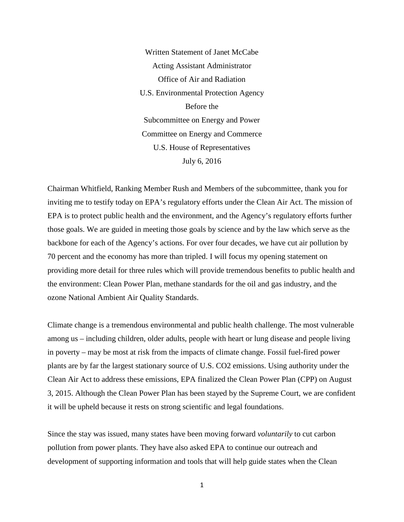Written Statement of Janet McCabe Acting Assistant Administrator Office of Air and Radiation U.S. Environmental Protection Agency Before the Subcommittee on Energy and Power Committee on Energy and Commerce U.S. House of Representatives July 6, 2016

Chairman Whitfield, Ranking Member Rush and Members of the subcommittee, thank you for inviting me to testify today on EPA's regulatory efforts under the Clean Air Act. The mission of EPA is to protect public health and the environment, and the Agency's regulatory efforts further those goals. We are guided in meeting those goals by science and by the law which serve as the backbone for each of the Agency's actions. For over four decades, we have cut air pollution by 70 percent and the economy has more than tripled. I will focus my opening statement on providing more detail for three rules which will provide tremendous benefits to public health and the environment: Clean Power Plan, methane standards for the oil and gas industry, and the ozone National Ambient Air Quality Standards.

Climate change is a tremendous environmental and public health challenge. The most vulnerable among us – including children, older adults, people with heart or lung disease and people living in poverty – may be most at risk from the impacts of climate change. Fossil fuel-fired power plants are by far the largest stationary source of U.S. CO2 emissions. Using authority under the Clean Air Act to address these emissions, EPA finalized the Clean Power Plan (CPP) on August 3, 2015. Although the Clean Power Plan has been stayed by the Supreme Court, we are confident it will be upheld because it rests on strong scientific and legal foundations.

Since the stay was issued, many states have been moving forward *voluntarily* to cut carbon pollution from power plants. They have also asked EPA to continue our outreach and development of supporting information and tools that will help guide states when the Clean

1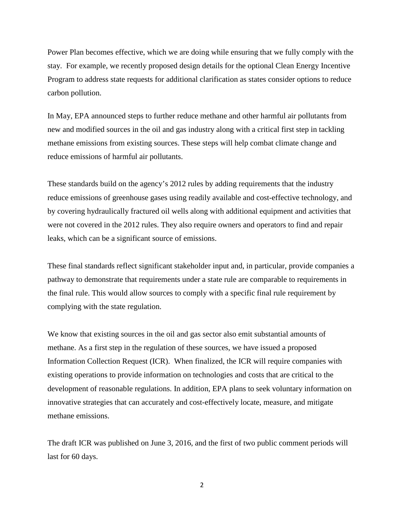Power Plan becomes effective, which we are doing while ensuring that we fully comply with the stay. For example, we recently proposed design details for the optional Clean Energy Incentive Program to address state requests for additional clarification as states consider options to reduce carbon pollution.

In May, EPA announced steps to further reduce methane and other harmful air pollutants from new and modified sources in the oil and gas industry along with a critical first step in tackling methane emissions from existing sources. These steps will help combat climate change and reduce emissions of harmful air pollutants.

These standards build on the agency's 2012 rules by adding requirements that the industry reduce emissions of greenhouse gases using readily available and cost-effective technology, and by covering hydraulically fractured oil wells along with additional equipment and activities that were not covered in the 2012 rules. They also require owners and operators to find and repair leaks, which can be a significant source of emissions.

These final standards reflect significant stakeholder input and, in particular, provide companies a pathway to demonstrate that requirements under a state rule are comparable to requirements in the final rule. This would allow sources to comply with a specific final rule requirement by complying with the state regulation.

We know that existing sources in the oil and gas sector also emit substantial amounts of methane. As a first step in the regulation of these sources, we have issued a proposed Information Collection Request (ICR). When finalized, the ICR will require companies with existing operations to provide information on technologies and costs that are critical to the development of reasonable regulations. In addition, EPA plans to seek voluntary information on innovative strategies that can accurately and cost-effectively locate, measure, and mitigate methane emissions.

The draft ICR was published on June 3, 2016, and the first of two public comment periods will last for 60 days.

2